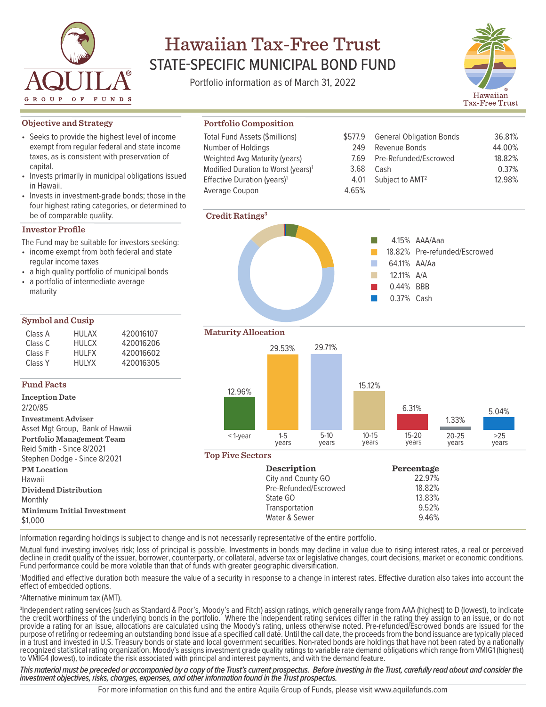

# Hawaiian Tax-Free Trust STATE-SPECIFIC MUNICIPAL BOND FUND

Portfolio information as of March 31, 2022

**Portfolio Composition** Total Fund Assets (\$millions) Number of Holdings

Weighted Avg Maturity (years) Modified Duration to Worst (years)<sup>1</sup> Effective Duration (years)1



36.81% 44.00% 18.82% 0.37% 12.98%

# **Objective and Strategy**

- Seeks to provide the highest level of income exempt from regular federal and state income taxes, as is consistent with preservation of capital.
- Invests primarily in municipal obligations issued in Hawaii.
- Invests in investment-grade bonds; those in the four highest rating categories, or determined to be of comparable quality.

# **Investor Profile**

The Fund may be suitable for investors seeking:

- income exempt from both federal and state regular income taxes
- a high quality portfolio of municipal bonds
- a portfolio of intermediate average maturity

# **Symbol and Cusip**

| Class A            | HUI AX | 420016107 |
|--------------------|--------|-----------|
| Class C            | HULCX  | 420016206 |
| Class F            | HUI FX | 420016602 |
| Class <sub>Y</sub> | HUIYX  | 420016305 |
|                    |        |           |

# **Fund Facts**

**Inception Date** 2/20/85 **Investment Adviser** Asset Mgt Group, Bank of Hawaii **Portfolio Management Team** Reid Smith - Since 8/2021 Stephen Dodge - Since 8/2021 **PM Location** Hawaii **Dividend Distributi** Monthly **Minimum Initial In** \$1,000

**Maturity Allocation**

**Credit Ratings3**

Average Coupon



\$577.9 249 7.69 3.68 4.01 4.65%

General Obligation Bonds

AAA/Aaa 4.15%

64.11% AA/Aa A/A 12.11% 0.44% BBB 0.37% Cash

18.82% Pre-refunded/Escrowed

Revenue Bonds Pre-Refunded/Escrowed

Subject to AMT2

Cash

 $\overline{\phantom{a}}$  $\Box$ П T.  $\mathbb{R}^3$  $\Box$ 

# **Top Five Sectors**

| JU <i>UI L</i> U LI |                       |            |  |
|---------------------|-----------------------|------------|--|
|                     | <b>Description</b>    | Percentage |  |
|                     | City and County GO    | 22.97%     |  |
| ion                 | Pre-Refunded/Escrowed | 18.82%     |  |
|                     | State GO              | 13.83%     |  |
| westment            | Transportation        | 9.52%      |  |
|                     | Water & Sewer         | 9.46%      |  |
|                     |                       |            |  |

Information regarding holdings is subject to change and is not necessarily representative of the entire portfolio.

Mutual fund investing involves risk; loss of principal is possible. Investments in bonds may decline in value due to rising interest rates, a real or perceived decline in credit quality of the issuer, borrower, counterparty, or collateral, adverse tax or legislative changes, court decisions, market or economic conditions. Fund performance could be more volatile than that of funds with greater geographic diversification.

1 Modified and effective duration both measure the value of a security in response to a change in interest rates. Effective duration also takes into account the effect of embedded options.

2 Alternative minimum tax (AMT).

3 Independent rating services (such as Standard & Poor's, Moody's and Fitch) assign ratings, which generally range from AAA (highest) to D (lowest), to indicate the credit worthiness of the underlying bonds in the portfolio. Where the independent rating services differ in the rating they assign to an issue, or do not provide a rating for an issue, allocations are calculated using the Moody's rating, unless otherwise noted. Pre-refunded/Escrowed bonds are issued for the purpose of retiring or redeeming an outstanding bond issue at a specified call date. Until the call date, the proceeds from the bond issuance are typically placed in a trust and invested in U.S. Treasury bonds or state and local government securities. Non-rated bonds are holdings that have not been rated by a nationally recognized statistical rating organization. Moody's assigns investment grade quality ratings to variable rate demand obligations which range from VMIG1 (highest) to VMIG4 (lowest), to indicate the risk associated with principal and interest payments, and with the demand feature.

This material must be preceded or accompanied by a copy of the Trust's current prospectus. Before investing in the Trust, carefully read about and consider the *investment objectives, risks, charges, expenses, and other information found in the Trust prospectus.* 

For more information on this fund and the entire Aquila Group of Funds, please visit www.aquilafunds.com